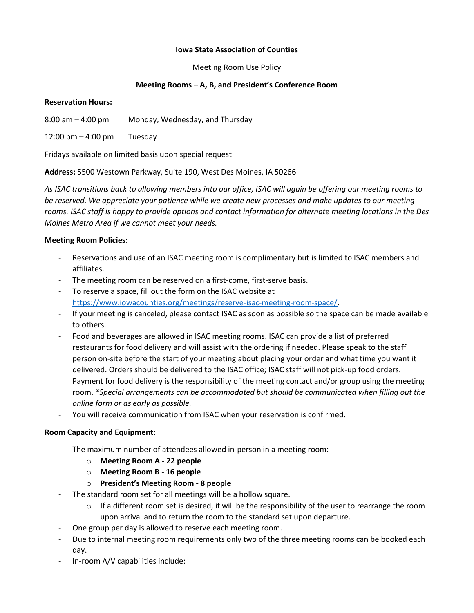### **Iowa State Association of Counties**

Meeting Room Use Policy

## **Meeting Rooms – A, B, and President's Conference Room**

#### **Reservation Hours:**

8:00 am – 4:00 pm Monday, Wednesday, and Thursday

12:00 pm – 4:00 pm Tuesday

Fridays available on limited basis upon special request

**Address:** 5500 Westown Parkway, Suite 190, West Des Moines, IA 50266

*As ISAC transitions back to allowing members into our office, ISAC will again be offering our meeting rooms to be reserved. We appreciate your patience while we create new processes and make updates to our meeting rooms. ISAC staff is happy to provide options and contact information for alternate meeting locations in the Des Moines Metro Area if we cannot meet your needs.* 

## **Meeting Room Policies:**

- Reservations and use of an ISAC meeting room is complimentary but is limited to ISAC members and affiliates.
- The meeting room can be reserved on a first-come, first-serve basis.
- To reserve a space, fill out the form on the ISAC website at [https://www.iowacounties.org/meetings/reserve-isac-meeting-room-space/.](https://www.iowacounties.org/meetings/reserve-isac-meeting-room-space/)
- If your meeting is canceled, please contact ISAC as soon as possible so the space can be made available to others.
- Food and beverages are allowed in ISAC meeting rooms. ISAC can provide a list of preferred restaurants for food delivery and will assist with the ordering if needed. Please speak to the staff person on-site before the start of your meeting about placing your order and what time you want it delivered. Orders should be delivered to the ISAC office; ISAC staff will not pick-up food orders. Payment for food delivery is the responsibility of the meeting contact and/or group using the meeting room. *\*Special arrangements can be accommodated but should be communicated when filling out the online form or as early as possible.*
- You will receive communication from ISAC when your reservation is confirmed.

#### **Room Capacity and Equipment:**

- The maximum number of attendees allowed in-person in a meeting room:
	- o **Meeting Room A - 22 people**
	- o **Meeting Room B - 16 people**
	- o **President's Meeting Room - 8 people**
- The standard room set for all meetings will be a hollow square.
	- o If a different room set is desired, it will be the responsibility of the user to rearrange the room upon arrival and to return the room to the standard set upon departure.
- One group per day is allowed to reserve each meeting room.
- Due to internal meeting room requirements only two of the three meeting rooms can be booked each day.
- In-room A/V capabilities include: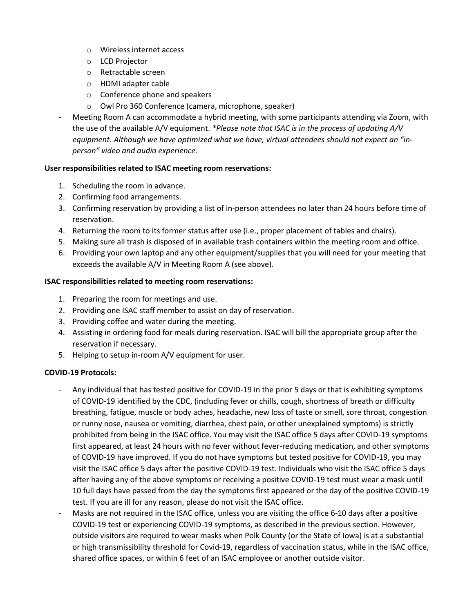- o Wireless internet access
- o LCD Projector
- o Retractable screen
- o HDMI adapter cable
- o Conference phone and speakers
- o Owl Pro 360 Conference (camera, microphone, speaker)
- Meeting Room A can accommodate a hybrid meeting, with some participants attending via Zoom, with the use of the available A/V equipment. *\*Please note that ISAC is in the process of updating A/V equipment. Although we have optimized what we have, virtual attendees should not expect an "inperson" video and audio experience.*

# **User responsibilities related to ISAC meeting room reservations:**

- 1. Scheduling the room in advance.
- 2. Confirming food arrangements.
- 3. Confirming reservation by providing a list of in-person attendees no later than 24 hours before time of reservation.
- 4. Returning the room to its former status after use (i.e., proper placement of tables and chairs).
- 5. Making sure all trash is disposed of in available trash containers within the meeting room and office.
- 6. Providing your own laptop and any other equipment/supplies that you will need for your meeting that exceeds the available A/V in Meeting Room A (see above).

## **ISAC responsibilities related to meeting room reservations:**

- 1. Preparing the room for meetings and use.
- 2. Providing one ISAC staff member to assist on day of reservation.
- 3. Providing coffee and water during the meeting.
- 4. Assisting in ordering food for meals during reservation. ISAC will bill the appropriate group after the reservation if necessary.
- 5. Helping to setup in-room A/V equipment for user.

# **COVID-19 Protocols:**

- Any individual that has tested positive for COVID-19 in the prior 5 days or that is exhibiting symptoms of COVID-19 identified by the CDC, (including fever or chills, cough, shortness of breath or difficulty breathing, fatigue, muscle or body aches, headache, new loss of taste or smell, sore throat, congestion or runny nose, nausea or vomiting, diarrhea, chest pain, or other unexplained symptoms) is strictly prohibited from being in the ISAC office. You may visit the ISAC office 5 days after COVID-19 symptoms first appeared, at least 24 hours with no fever without fever-reducing medication, and other symptoms of COVID-19 have improved. If you do not have symptoms but tested positive for COVID-19, you may visit the ISAC office 5 days after the positive COVID-19 test. Individuals who visit the ISAC office 5 days after having any of the above symptoms or receiving a positive COVID-19 test must wear a mask until 10 full days have passed from the day the symptoms first appeared or the day of the positive COVID-19 test. If you are ill for any reason, please do not visit the ISAC office.
- Masks are not required in the ISAC office, unless you are visiting the office 6-10 days after a positive COVID-19 test or experiencing COVID-19 symptoms, as described in the previous section. However, outside visitors are required to wear masks when Polk County (or the State of Iowa) is at a substantial or high transmissibility threshold for Covid-19, regardless of vaccination status, while in the ISAC office, shared office spaces, or within 6 feet of an ISAC employee or another outside visitor.